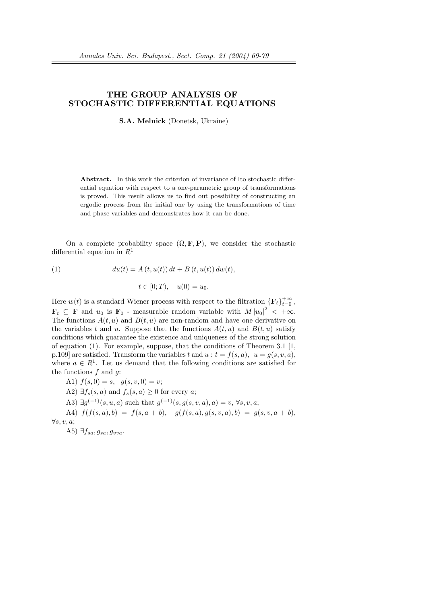## THE GROUP ANALYSIS OF STOCHASTIC DIFFERENTIAL EQUATIONS

S.A. Melnick (Donetsk, Ukraine)

Abstract. In this work the criterion of invariance of Ito stochastic differential equation with respect to a one-parametric group of transformations is proved. This result allows us to find out possibility of constructing an ergodic process from the initial one by using the transformations of time and phase variables and demonstrates how it can be done.

On a complete probability space  $(\Omega, \mathbf{F}, \mathbf{P})$ , we consider the stochastic differential equation in  $R<sup>1</sup>$ 

(1) 
$$
du(t) = A(t, u(t)) dt + B(t, u(t)) dw(t),
$$

$$
t \in [0; T), \quad u(0) = u_0.
$$

Here  $w(t)$  is a standard Wiener process with respect to the filtration  ${\{F_t\}}_{t=0}^{+\infty}$ ,  $\mathbf{F}_t \subseteq \mathbf{F}$  and  $u_0$  is  $\mathbf{F}_0$  - measurable random variable with  $M |u_0|^2 < +\infty$ . The functions  $A(t, u)$  and  $B(t, u)$  are non-random and have one derivative on the variables t and u. Suppose that the functions  $A(t, u)$  and  $B(t, u)$  satisfy conditions which guarantee the existence and uniqueness of the strong solution of equation (1). For example, suppose, that the conditions of Theorem 3.1 [1, p.109] are satisfied. Transform the variables t and  $u : t = f(s, a), u = g(s, v, a)$ , where  $a \in R^1$ . Let us demand that the following conditions are satisfied for the functions  $f$  and  $q$ :

A1) 
$$
f(s, 0) = s
$$
,  $g(s, v, 0) = v$ ;

A2)  $\exists f_s(s,a)$  and  $f_s(s,a) \geq 0$  for every a;

A3)  $\exists g^{(-1)}(s, u, a)$  such that  $g^{(-1)}(s, g(s, v, a), a) = v, \forall s, v, a;$ 

A4)  $f(f(s, a), b) = f(s, a + b), \quad g(f(s, a), g(s, v, a), b) = g(s, v, a + b).$ ∀s, v, a;

A5)  $\exists f_{sa}, g_{sa}, g_{vva}.$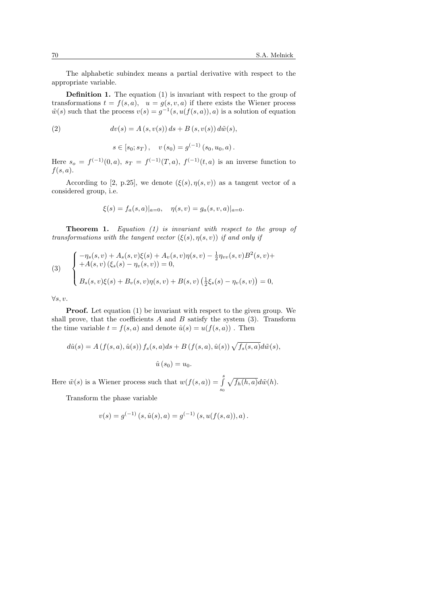The alphabetic subindex means a partial derivative with respect to the appropriate variable.

Definition 1. The equation (1) is invariant with respect to the group of transformations  $t = f(s, a)$ ,  $u = g(s, v, a)$  if there exists the Wiener process  $\tilde{w}(s)$  such that the process  $v(s) = g^{-1}(s, u(f(s, a)), a)$  is a solution of equation

(2) 
$$
dv(s) = A(s, v(s)) ds + B(s, v(s)) d\tilde{w}(s),
$$

 $s \in [s_0; s_T), \quad v (s_0) = g^{(-1)} (s_0, u_0, a).$ 

Here  $s_o = f^{(-1)}(0, a)$ ,  $s_T = f^{(-1)}(T, a)$ ,  $f^{(-1)}(t, a)$  is an inverse function to  $f(s,a)$ .

According to [2, p.25], we denote  $(\xi(s), \eta(s, v))$  as a tangent vector of a considered group, i.e.

$$
\xi(s) = f_a(s, a)|_{a=0}, \quad \eta(s, v) = g_a(s, v, a)|_{a=0}.
$$

Theorem 1. Equation (1) is invariant with respect to the group of transformations with the tangent vector  $(\xi(s), \eta(s, v))$  if and only if

(3) 
$$
\begin{cases} -\eta_s(s,v) + A_s(s,v)\xi(s) + A_v(s,v)\eta(s,v) - \frac{1}{2}\eta_{vv}(s,v)B^2(s,v) ++ A(s,v)(\xi_s(s) - \eta_v(s,v)) = 0, \\ B_s(s,v)\xi(s) + B_v(s,v)\eta(s,v) + B(s,v)(\frac{1}{2}\xi_s(s) - \eta_v(s,v)) = 0, \end{cases}
$$

∀s, v.

**Proof.** Let equation (1) be invariant with respect to the given group. We shall prove, that the coefficients  $A$  and  $B$  satisfy the system (3). Transform the time variable  $t = f(s, a)$  and denote  $\hat{u}(s) = u(f(s, a))$ . Then

$$
d\hat{u}(s) = A(f(s, a), \hat{u}(s)) f_s(s, a) ds + B(f(s, a), \hat{u}(s)) \sqrt{f_s(s, a)} d\tilde{w}(s),
$$
  

$$
\hat{u}(s_0) = u_0.
$$

Here  $\tilde{w}(s)$  is a Wiener process such that  $w(f(s, a)) = \int_{s}^{s}$ s0 p  $f_h(h, a)d\tilde{w}(h).$ 

Transform the phase variable

$$
v(s) = g^{(-1)}(s, \hat{u}(s), a) = g^{(-1)}(s, u(f(s, a)), a).
$$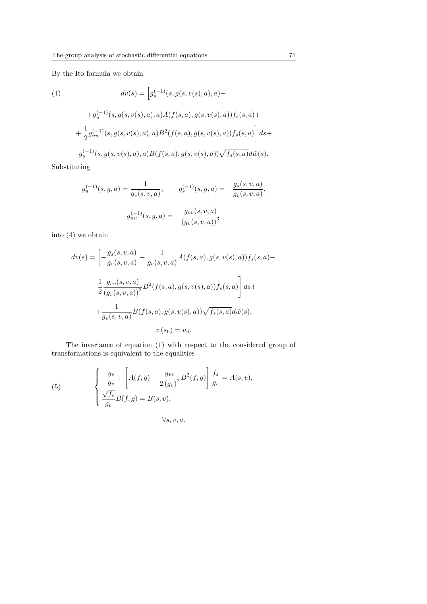By the Ito formula we obtain

(4)  
\n
$$
dv(s) = \left[g_s^{(-1)}(s, g(s, v(s), a), a) +\n+g_u^{(-1)}(s, g(s, v(s), a), a)A(f(s, a), g(s, v(s), a))f_s(s, a) +\n+ \frac{1}{2}g_{uu}^{(-1)}(s, g(s, v(s), a), a)B^2(f(s, a), g(s, v(s), a))f_s(s, a)\right]ds +\ng_u^{(-1)}(s, g(s, v(s), a), a)B(f(s, a), g(s, v(s), a))\sqrt{f_s(s, a)}d\tilde{w}(s).
$$

Substituting

$$
g_u^{(-1)}(s, g, a) = \frac{1}{g_v(s, v, a)}, \qquad g_s^{(-1)}(s, g, a) = -\frac{g_s(s, v, a)}{g_v(s, v, a)},
$$

$$
g_{uu}^{(-1)}(s, g, a) = -\frac{g_{vv}(s, v, a)}{(g_v(s, v, a))^3}
$$

into (4) we obtain

$$
dv(s) = \left[ -\frac{g_s(s, v, a)}{g_v(s, v, a)} + \frac{1}{g_v(s, v, a)} A(f(s, a), g(s, v(s), a)) f_s(s, a) - \frac{1}{2} \frac{g_{vv}(s, v, a)}{(g_v(s, v, a))^3} B^2(f(s, a), g(s, v(s), a)) f_s(s, a) \right] ds +
$$
  
+ 
$$
\frac{1}{g_v(s, v, a)} B(f(s, a), g(s, v(s), a)) \sqrt{f_s(s, a)} d\tilde{w}(s),
$$
  

$$
v(s_0) = u_0.
$$

The invariance of equation (1) with respect to the considered group of transformations is equivalent to the equalities

(5) 
$$
\begin{cases} -\frac{g_s}{g_v} + \left[ A(f,g) - \frac{g_{vv}}{2(g_v)^2} B^2(f,g) \right] \frac{f_s}{g_v} = A(s,v), \\ \frac{\sqrt{f_s}}{g_v} B(f,g) = B(s,v), \end{cases}
$$

 $\forall s, v, a.$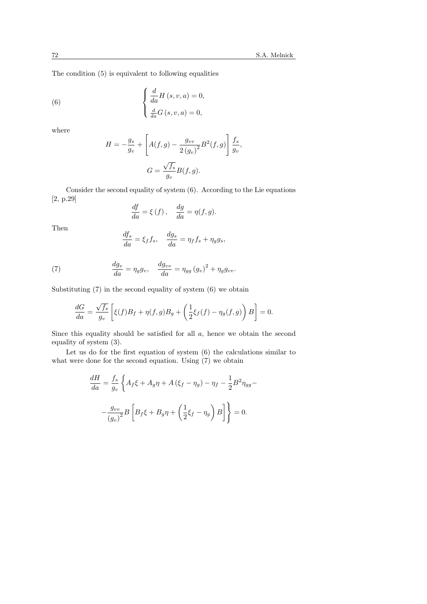The condition (5) is equivalent to following equalities

(6) 
$$
\begin{cases} \frac{d}{da}H(s,v,a) = 0, \\ \frac{d}{da}G(s,v,a) = 0, \end{cases}
$$

where

$$
H = -\frac{g_s}{g_v} + \left[ A(f,g) - \frac{g_{vv}}{2(g_v)^2} B^2(f,g) \right] \frac{f_s}{g_v},
$$
  

$$
G = \frac{\sqrt{f_s}}{g_v} B(f,g).
$$

Consider the second equality of system (6). According to the Lie equations [2, p.29]

$$
\frac{df}{da} = \xi(f), \quad \frac{dg}{da} = \eta(f, g).
$$

Then

$$
\frac{df_s}{da} = \xi_f f_s, \quad \frac{dg_s}{da} = \eta_f f_s + \eta_g g_s,
$$

(7) 
$$
\frac{dg_v}{da} = \eta_g g_v, \quad \frac{dg_{vv}}{da} = \eta_{gg} (g_v)^2 + \eta_g g_{vv}.
$$

Substituting  $(7)$  in the second equality of system  $(6)$  we obtain

$$
\frac{dG}{da} = \frac{\sqrt{f_s}}{g_v} \left[ \xi(f) B_f + \eta(f,g) B_g + \left( \frac{1}{2} \xi_f(f) - \eta_g(f,g) \right) B \right] = 0.
$$

Since this equality should be satisfied for all a, hence we obtain the second equality of system (3).

Let us do for the first equation of system (6) the calculations similar to what were done for the second equation. Using (7) we obtain

$$
\frac{dH}{da} = \frac{f_s}{g_v} \left\{ A_f \xi + A_g \eta + A \left( \xi_f - \eta_g \right) - \eta_f - \frac{1}{2} B^2 \eta_{gg} - \frac{g_{vv}}{\left( g_v \right)^2} B \left[ B_f \xi + B_g \eta + \left( \frac{1}{2} \xi_f - \eta_g \right) B \right] \right\} = 0.
$$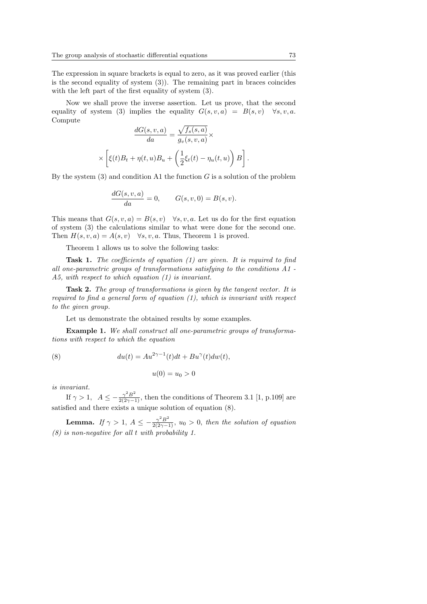The expression in square brackets is equal to zero, as it was proved earlier (this is the second equality of system  $(3)$ ). The remaining part in braces coincides with the left part of the first equality of system  $(3)$ .

Now we shall prove the inverse assertion. Let us prove, that the second equality of system (3) implies the equality  $G(s, v, a) = B(s, v)$   $\forall s, v, a$ . Compute p

$$
\frac{dG(s, v, a)}{da} = \frac{\sqrt{f_s(s, a)}}{g_v(s, v, a)} \times \left[ \xi(t)B_t + \eta(t, u)B_u + \left( \frac{1}{2} \xi_t(t) - \eta_u(t, u) \right) B \right].
$$

By the system  $(3)$  and condition A1 the function G is a solution of the problem

$$
\frac{dG(s, v, a)}{da} = 0, \qquad G(s, v, 0) = B(s, v).
$$

This means that  $G(s, v, a) = B(s, v)$   $\forall s, v, a$ . Let us do for the first equation of system (3) the calculations similar to what were done for the second one. Then  $H(s, v, a) = A(s, v)$   $\forall s, v, a$ . Thus, Theorem 1 is proved.

Theorem 1 allows us to solve the following tasks:

**Task 1.** The coefficients of equation  $(1)$  are given. It is required to find all one-parametric groups of transformations satisfying to the conditions A1 - A5, with respect to which equation (1) is invariant.

**Task 2.** The group of transformations is given by the tangent vector. It is required to find a general form of equation  $(1)$ , which is invariant with respect to the given group.

Let us demonstrate the obtained results by some examples.

Example 1. We shall construct all one-parametric groups of transformations with respect to which the equation

(8) 
$$
du(t) = Au^{2\gamma - 1}(t)dt + Bu^{\gamma}(t)dw(t),
$$

$$
u(0) = u_0 > 0
$$

is invariant.

If  $\gamma > 1$ ,  $A \le -\frac{\gamma^2 B^2}{2(2\gamma - 1)}$ , then the conditions of Theorem 3.1 [1, p.109] are satisfied and there exists a unique solution of equation (8).

**Lemma.** If  $\gamma > 1$ ,  $A \leq -\frac{\gamma^2 B^2}{2(2\gamma - 1)}$ ,  $u_0 > 0$ , then the solution of equation (8) is non-negative for all t with probability 1.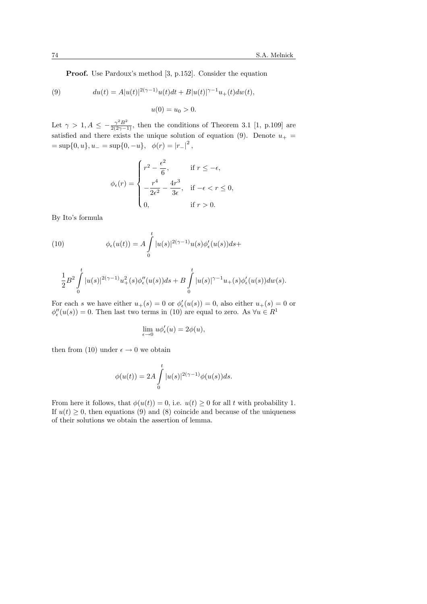Proof. Use Pardoux's method [3, p.152]. Consider the equation

(9) 
$$
du(t) = A|u(t)|^{2(\gamma - 1)}u(t)dt + B|u(t)|^{\gamma - 1}u_{+}(t)dw(t),
$$

$$
u(0) = u_{0} > 0.
$$

Let  $\gamma > 1, A \leq -\frac{\gamma^2 B^2}{2(2\gamma - 1)}$ , then the conditions of Theorem 3.1 [1, p.109] are satisfied and there exists the unique solution of equation (9). Denote  $u_{+}$  =  $=$  sup $\{0, u\}, u_-=$  sup $\{0, -u\}, \phi(r) = |r_-|^2$ ,

$$
\phi_{\epsilon}(r) = \begin{cases}\nr^2 - \frac{\epsilon^2}{6}, & \text{if } r \leq -\epsilon, \\
-\frac{r^4}{2\epsilon^2} - \frac{4r^3}{3\epsilon}, & \text{if } -\epsilon < r \leq 0, \\
0, & \text{if } r > 0.\n\end{cases}
$$

By Ito's formula

(10) 
$$
\phi_{\epsilon}(u(t)) = A \int_{0}^{t} |u(s)|^{2(\gamma - 1)} u(s) \phi_{\epsilon}'(u(s)) ds +
$$

$$
\frac{1}{2}B^2\int\limits_0^t|u(s)|^{2(\gamma-1)}u_+^2(s)\phi_{\epsilon}''(u(s))ds+B\int\limits_0^t|u(s)|^{\gamma-1}u_+(s)\phi_{\epsilon}'(u(s))dw(s).
$$

For each s we have either  $u_+(s) = 0$  or  $\phi'_\epsilon(u(s)) = 0$ , also either  $u_+(s) = 0$  or  $\phi''_{\epsilon}(u(s)) = 0$ . Then last two terms in (10) are equal to zero. As  $\forall u \in R^{1}$ 

$$
\lim_{\epsilon \to 0} u \phi_{\epsilon}'(u) = 2\phi(u),
$$

then from (10) under  $\epsilon \to 0$  we obtain

$$
\phi(u(t)) = 2A \int\limits_0^t |u(s)|^{2(\gamma - 1)} \phi(u(s)) ds.
$$

From here it follows, that  $\phi(u(t)) = 0$ , i.e.  $u(t) \geq 0$  for all t with probability 1. If  $u(t) \geq 0$ , then equations (9) and (8) coincide and because of the uniqueness of their solutions we obtain the assertion of lemma.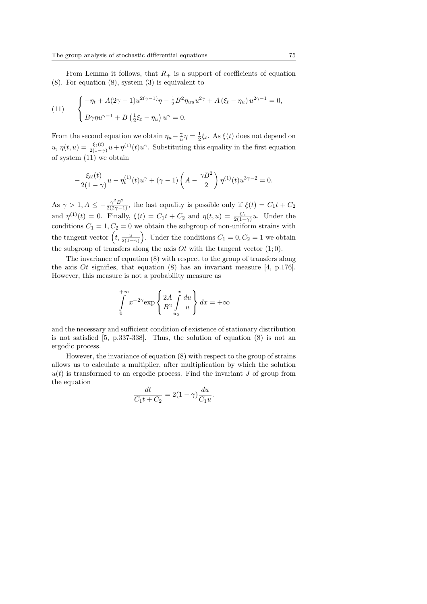From Lemma it follows, that  $R_+$  is a support of coefficients of equation (8). For equation (8), system (3) is equivalent to

(11) 
$$
\begin{cases} -\eta_t + A(2\gamma - 1)u^{2(\gamma - 1)}\eta - \frac{1}{2}B^2\eta_{uu}u^{2\gamma} + A(\xi_t - \eta_u)u^{2\gamma - 1} = 0, \\ B\gamma\eta u^{\gamma - 1} + B(\frac{1}{2}\xi_t - \eta_u)u^{\gamma} = 0. \end{cases}
$$

From the second equation we obtain  $\eta_u - \frac{\gamma}{u} \eta = \frac{1}{2} \xi_t$ . As  $\xi(t)$  does not depend on  $u, \eta(t, u) = \frac{\xi_t(t)}{2(1-\gamma)}u + \eta^{(1)}(t)u^{\gamma}$ . Substituting this equality in the first equation of system (11) we obtain

$$
-\frac{\xi_{tt}(t)}{2(1-\gamma)}u-\eta_t^{(1)}(t)u^{\gamma}+(\gamma-1)\left(A-\frac{\gamma B^2}{2}\right)\eta^{(1)}(t)u^{3\gamma-2}=0.
$$

As  $\gamma > 1, A \le -\frac{\gamma^2 B^2}{2(2\gamma - 1)}$ , the last equality is possible only if  $\xi(t) = C_1 t + C_2$ and  $\eta^{(1)}(t) = 0$ . Finally,  $\xi(t) = C_1 t + C_2$  and  $\eta(t, u) = \frac{C_1}{2(1-\gamma)} u$ . Under the conditions  $C_1 = 1, C_2 = 0$  we obtain the subgroup of non-uniform strains with conditions  $C_1 = 1, C_2 = 0$  we obtain the subgroup of non-uniform strains with<br>the tangent vector  $\left(t, \frac{u}{2(1-\gamma)}\right)$ . Under the conditions  $C_1 = 0, C_2 = 1$  we obtain the subgroup of transfers along the axis  $O_t$  with the tangent vector  $(1; 0)$ .

The invariance of equation (8) with respect to the group of transfers along the axis *Ot* signifies, that equation  $(8)$  has an invariant measure [4, p.176]. However, this measure is not a probability measure as

$$
\int_{0}^{+\infty} x^{-2\gamma} \exp\left\{\frac{2A}{B^2} \int_{u_0}^{x} \frac{du}{u}\right\} dx = +\infty
$$

and the necessary and sufficient condition of existence of stationary distribution is not satisfied [5, p.337-338]. Thus, the solution of equation (8) is not an ergodic process.

However, the invariance of equation (8) with respect to the group of strains allows us to calculate a multiplier, after multiplication by which the solution  $u(t)$  is transformed to an ergodic process. Find the invariant J of group from the equation

$$
\frac{dt}{C_1t+C_2} = 2(1-\gamma)\frac{du}{C_1u}.
$$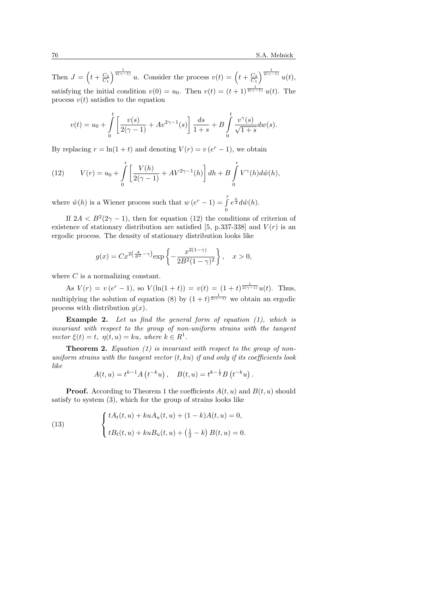Then  $J =$  $\overline{a}$  $t + \frac{C_2}{C_1}$  $\int_{0}^{\frac{1}{2(\gamma-1)}} u$ . Consider the process  $v(t) = \left(t + \frac{C_2}{C_1}\right)$  $\int_0^{\frac{1}{2(\gamma-1)}} u(t)$ satisfying the initial condition  $v(0) = u_0$ . Then  $v(t) = (t+1)^{\frac{1}{2(\gamma-1)}} u(t)$ . The process  $v(t)$  satisfies to the equation

$$
v(t) = u_0 + \int_0^t \left[ \frac{v(s)}{2(\gamma - 1)} + Av^{2\gamma - 1}(s) \right] \frac{ds}{1 + s} + B \int_0^t \frac{v^{\gamma}(s)}{\sqrt{1 + s}} dw(s).
$$

By replacing  $r = \ln(1+t)$  and denoting  $V(r) = v(e^r - 1)$ , we obtain

(12) 
$$
V(r) = u_0 + \int_0^r \left[ \frac{V(h)}{2(\gamma - 1)} + AV^{2\gamma - 1}(h) \right] dh + B \int_0^r V^{\gamma}(h) d\tilde{w}(h),
$$

where  $\tilde{w}(h)$  is a Wiener process such that  $w(e^r-1) = \int_0^r$ 0  $e^{\frac{h}{2}}d\tilde{w}(h).$ 

If  $2A < B<sup>2</sup>(2\gamma - 1)$ , then for equation (12) the conditions of criterion of existence of stationary distribution are satisfied [5, p.337-338] and  $V(r)$  is an ergodic process. The density of stationary distribution looks like

$$
g(x) = Cx^{2\left(\frac{A}{B^2} - \gamma\right)} \exp\left\{-\frac{x^{2(1-\gamma)}}{2B^2(1-\gamma)^2}\right\}, \quad x > 0,
$$

where C is a normalizing constant.

As  $V(r) = v(e^r - 1)$ , so  $V(\ln(1 + t)) = v(t) = (1 + t)^{\frac{1}{2(\gamma - 1)}}u(t)$ . Thus, multiplying the solution of equation (8) by  $(1 + t)^{\frac{1}{2(\gamma - 1)}}$  we obtain an ergodic process with distribution  $q(x)$ .

Example 2. Let us find the general form of equation (1), which is invariant with respect to the group of non-uniform strains with the tangent vector  $\xi(t) = t$ ,  $\eta(t, u) = ku$ , where  $k \in R^1$ .

**Theorem 2.** Equation (1) is invariant with respect to the group of nonuniform strains with the tangent vector  $(t, k\mathbf{u})$  if and only if its coefficients look like ¡ ¢ ¡ ¢

$$
A(t, u) = t^{k-1} A(t^{-k} u), \quad B(t, u) = t^{k-\frac{1}{2}} B(t^{-k} u).
$$

**Proof.** According to Theorem 1 the coefficients  $A(t, u)$  and  $B(t, u)$  should satisfy to system (3), which for the group of strains looks like

(13) 
$$
\begin{cases} tA_t(t, u) + kuA_u(t, u) + (1 - k)A(t, u) = 0, \\ tB_t(t, u) + kuB_u(t, u) + \left(\frac{1}{2} - k\right)B(t, u) = 0. \end{cases}
$$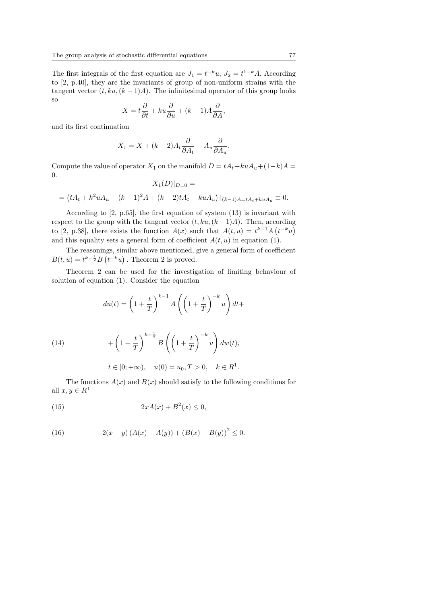The first integrals of the first equation are  $J_1 = t^{-k}u$ ,  $J_2 = t^{1-k}A$ . According to [2, p.40], they are the invariants of group of non-uniform strains with the tangent vector  $(t, ku, (k-1)A)$ . The infinitesimal operator of this group looks so

$$
X = t\frac{\partial}{\partial t} + ku\frac{\partial}{\partial u} + (k - 1)A\frac{\partial}{\partial A},
$$

and its first continuation

$$
X_1 = X + (k-2)A_t \frac{\partial}{\partial A_t} - A_u \frac{\partial}{\partial A_u}.
$$

Compute the value of operator  $X_1$  on the manifold  $D = tA_t + kuA_u + (1-k)A =$ 0.

$$
X_1(D)|_{D=0} =
$$
  
=  $(tA_t + k^2 uA_u - (k-1)^2 A + (k-2)tA_t - kuA_u)|_{(k-1)A = tA_t + kuA_u} \equiv 0.$ 

According to [2, p.65], the first equation of system (13) is invariant with respect to the group with the tangent vector  $(t, ku, (k-1)A)$ . Then, according to [2, p.38], there exists the function  $A(x)$  such that  $A(t, u) = t^{k-1} A(t^{-k}u)$ and this equality sets a general form of coefficient  $A(t, u)$  in equation (1).

The reasonings, similar above mentioned, give a general form of coefficient  $B(t, u) = t^{k - \frac{1}{2}} B$ ¦1<br>∕ 50, 5111 $t^{-k}u)$ . Theorem 2 is proved.

Theorem 2 can be used for the investigation of limiting behaviour of solution of equation (1). Consider the equation

$$
du(t) = \left(1 + \frac{t}{T}\right)^{k-1} A\left(\left(1 + \frac{t}{T}\right)^{-k} u\right) dt +
$$

(14) 
$$
+\left(1+\frac{t}{T}\right)^{k-\frac{1}{2}}B\left(\left(1+\frac{t}{T}\right)^{-k}u\right)dw(t),
$$

$$
t \in [0; +\infty)
$$
,  $u(0) = u_0, T > 0$ ,  $k \in R^1$ .

The functions  $A(x)$  and  $B(x)$  should satisfy to the following conditions for all  $x, y \in R^1$ 

$$
(15) \qquad \qquad 2xA(x) + B^2(x) \le 0,
$$

(16) 
$$
2(x - y) (A(x) - A(y)) + (B(x) - B(y))^2 \le 0.
$$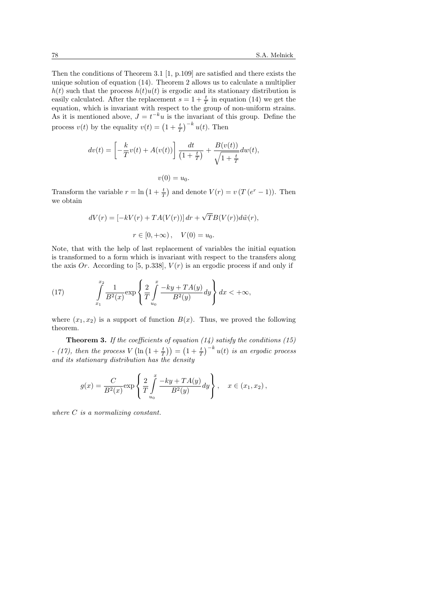Then the conditions of Theorem 3.1  $[1, p.109]$  are satisfied and there exists the unique solution of equation (14). Theorem 2 allows us to calculate a multiplier  $h(t)$  such that the process  $h(t)u(t)$  is ergodic and its stationary distribution is easily calculated. After the replacement  $s = 1 + \frac{t}{T}$  in equation (14) we get the equation, which is invariant with respect to the group of non-uniform strains. As it is mentioned above,  $J = t^{-k}u$  is the invariant of this group. Define the process  $v(t)$  by the equality  $v(t) = \left(1 + \frac{t}{T}\right)$  $\int_{0}^{-k} u(t)$ . Then

$$
dv(t) = \left[ -\frac{k}{T}v(t) + A(v(t)) \right] \frac{dt}{(1 + \frac{t}{T})} + \frac{B(v(t))}{\sqrt{1 + \frac{t}{T}}} dw(t),
$$

$$
v(0)=u_0.
$$

Transform the variable  $r = \ln\left(1 + \frac{t}{7}\right)$ ¢ and denote  $V(r) = v (T (e^r - 1))$ . Then we obtain

$$
dV(r) = [-kV(r) + TA(V(r))] dr + \sqrt{T}B(V(r))d\tilde{w}(r),
$$
  

$$
r \in [0, +\infty), \quad V(0) = u_0.
$$

Note, that with the help of last replacement of variables the initial equation is transformed to a form which is invariant with respect to the transfers along the axis Or. According to [5, p.338],  $V(r)$  is an ergodic process if and only if

(17) 
$$
\int_{x_1}^{x_2} \frac{1}{B^2(x)} \exp \left\{ \frac{2}{T} \int_{u_0}^x \frac{-ky + TA(y)}{B^2(y)} dy \right\} dx < +\infty,
$$

where  $(x_1, x_2)$  is a support of function  $B(x)$ . Thus, we proved the following theorem.

**Theorem 3.** If the coefficients of equation  $(14)$  satisfy the conditions  $(15)$ - (17), then the process V  $\left(\ln\left(1+\frac{t}{T}\right)\right) = \left(1+\frac{t}{T}\right)$  $\int_{0}^{-k} u(t)$  is an ergodic process and its stationary distribution has the density

$$
g(x) = \frac{C}{B^2(x)} \exp \left\{ \frac{2}{T} \int_{u_0}^x \frac{-ky + TA(y)}{B^2(y)} dy \right\}, \quad x \in (x_1, x_2),
$$

where C is a normalizing constant.